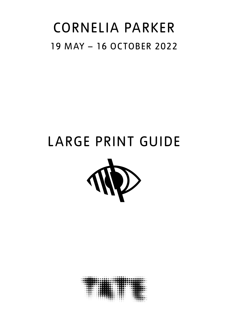## CORNELIA PARKER 19 MAY – 16 OCTOBER 2022

# LARGE PRINT GUIDE



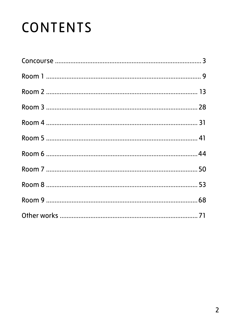# CONTENTS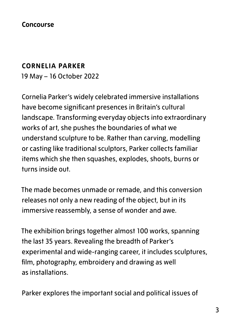#### **CORNELIA PARKER**

19 May – 16 October 2022

Cornelia Parker's widely celebrated immersive installations have become significant presences in Britain's cultural landscape. Transforming everyday objects into extraordinary works of art, she pushes the boundaries of what we understand sculpture to be. Rather than carving, modelling or casting like traditional sculptors, Parker collects familiar items which she then squashes, explodes, shoots, burns or turns inside out.

The made becomes unmade or remade, and this conversion releases not only a new reading of the object, but in its immersive reassembly, a sense of wonder and awe.

The exhibition brings together almost 100 works, spanning the last 35 years. Revealing the breadth of Parker's experimental and wide-ranging career, it includes sculptures, film, photography, embroidery and drawing as well as installations.

Parker explores the important social and political issues of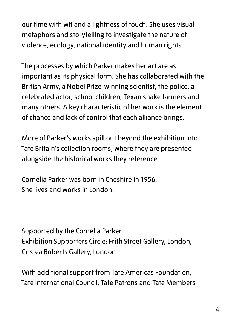our time with wit and a lightness of touch. She uses visual metaphors and storytelling to investigate the nature of violence, ecology, national identity and human rights.

The processes by which Parker makes her art are as important as its physical form. She has collaborated with the British Army, a Nobel Prize-winning scientist, the police, a celebrated actor, school children, Texan snake farmers and many others. A key characteristic of her work is the element of chance and lack of control that each alliance brings.

More of Parker's works spill out beyond the exhibition into Tate Britain's collection rooms, where they are presented alongside the historical works they reference.

Cornelia Parker was born in Cheshire in 1956. She lives and works in London.

Supported by the Cornelia Parker Exhibition Supporters Circle: Frith Street Gallery, London, Cristea Roberts Gallery, London

With additional support from Tate Americas Foundation, Tate International Council, Tate Patrons and Tate Members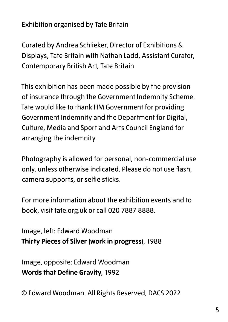Exhibition organised by Tate Britain

Curated by Andrea Schlieker, Director of Exhibitions & Displays, Tate Britain with Nathan Ladd, Assistant Curator, Contemporary British Art, Tate Britain

This exhibition has been made possible by the provision of insurance through the Government Indemnity Scheme. Tate would like to thank HM Government for providing Government Indemnity and the Department for Digital, Culture, Media and Sport and Arts Council England for arranging the indemnity.

Photography is allowed for personal, non-commercial use only, unless otherwise indicated. Please do not use flash, camera supports, or selfie sticks.

For more information about the exhibition events and to book, visit tate.org.uk or call 020 7887 8888.

Image, left: Edward Woodman **Thirty Pieces of Silver (work in progress)**, 1988

Image, opposite: Edward Woodman **Words that Define Gravity**, 1992

© Edward Woodman. All Rights Reserved, DACS 2022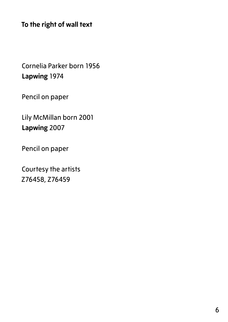**To the right of wall text**

Cornelia Parker born 1956 **Lapwing** 1974

Pencil on paper

Lily McMillan born 2001 **Lapwing** 2007

Pencil on paper

Courtesy the artists Z76458, Z76459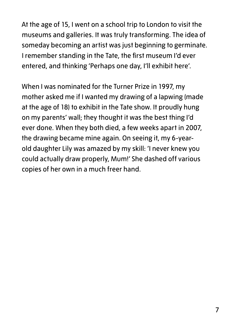At the age of 15, I went on a school trip to London to visit the museums and galleries. It was truly transforming. The idea of someday becoming an artist was just beginning to germinate. I remember standing in the Tate, the first museum I'd ever entered, and thinking 'Perhaps one day, I'll exhibit here'.

When I was nominated for the Turner Prize in 1997, my mother asked me if I wanted my drawing of a lapwing (made at the age of 18) to exhibit in the Tate show. It proudly hung on my parents' wall; they thought it was the best thing I'd ever done. When they both died, a few weeks apart in 2007, the drawing became mine again. On seeing it, my 6-yearold daughter Lily was amazed by my skill: 'I never knew you could actually draw properly, Mum!' She dashed off various copies of her own in a much freer hand.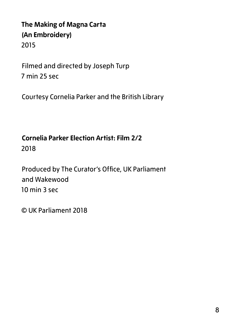## **The Making of Magna Carta (An Embroidery)** 2015

Filmed and directed by Joseph Turp 7 min 25 sec

Courtesy Cornelia Parker and the British Library

## **Cornelia Parker Election Artist: Film 2/2** 2018

Produced by The Curator's Office, UK Parliament and Wakewood 10 min 3 sec

© UK Parliament 2018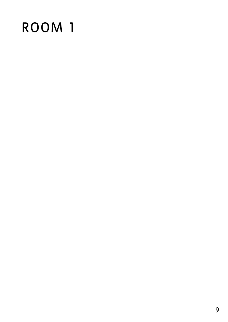# ROOM 1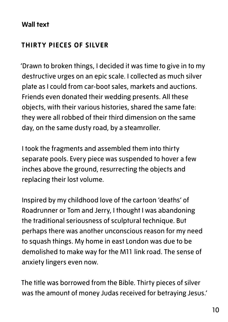#### **Wall text**

### **THIRTY PIECES OF SILVER**

'Drawn to broken things, I decided it was time to give in to my destructive urges on an epic scale. I collected as much silver plate as I could from car-boot sales, markets and auctions. Friends even donated their wedding presents. All these objects, with their various histories, shared the same fate: they were all robbed of their third dimension on the same day, on the same dusty road, by a steamroller.

I took the fragments and assembled them into thirty separate pools. Every piece was suspended to hover a few inches above the ground, resurrecting the objects and replacing their lost volume.

Inspired by my childhood love of the cartoon 'deaths' of Roadrunner or Tom and Jerry, I thought I was abandoning the traditional seriousness of sculptural technique. But perhaps there was another unconscious reason for my need to squash things. My home in east London was due to be demolished to make way for the M11 link road. The sense of anxiety lingers even now.

The title was borrowed from the Bible. Thirty pieces of silver was the amount of money Judas received for betraying Jesus.'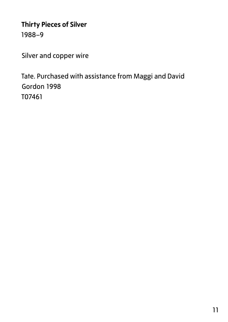## **Thirty Pieces of Silver** 1988–9

Silver and copper wire

Tate. Purchased with assistance from Maggi and David Gordon 1998 T07461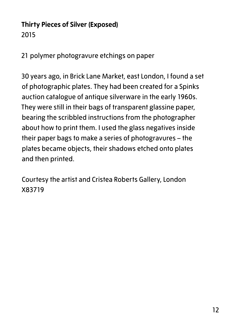## **Thirty Pieces of Silver (Exposed)** 2015

21 polymer photogravure etchings on paper

30 years ago, in Brick Lane Market, east London, I found a set of photographic plates. They had been created for a Spinks auction catalogue of antique silverware in the early 1960s. They were still in their bags of transparent glassine paper, bearing the scribbled instructions from the photographer about how to print them. I used the glass negatives inside their paper bags to make a series of photogravures – the plates became objects, their shadows etched onto plates and then printed.

Courtesy the artist and Cristea Roberts Gallery, London X83719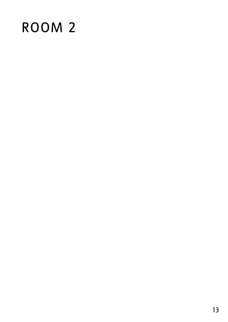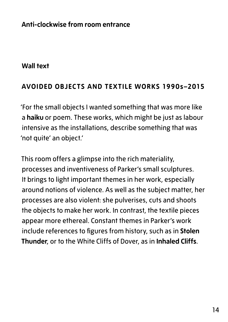#### **Anti-clockwise from room entrance**

#### **Wall text**

#### **AVOIDED OBJECTS AND TEXTILE WORKS 1990s–2015**

'For the small objects I wanted something that was more like a **haiku** or poem. These works, which might be just as labour intensive as the installations, describe something that was 'not quite' an object.'

This room offers a glimpse into the rich materiality, processes and inventiveness of Parker's small sculptures. It brings to light important themes in her work, especially around notions of violence. As well as the subject matter, her processes are also violent: she pulverises, cuts and shoots the objects to make her work. In contrast, the textile pieces appear more ethereal. Constant themes in Parker's work include references to figures from history, such as in **Stolen Thunder**, or to the White Cliffs of Dover, as in **Inhaled Cliffs**.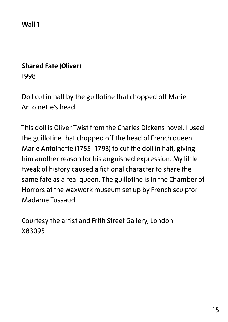**Wall 1**

#### **Shared Fate (Oliver)**

1998

Doll cut in half by the guillotine that chopped off Marie Antoinette's head

This doll is Oliver Twist from the Charles Dickens novel. I used the guillotine that chopped off the head of French queen Marie Antoinette (1755–1793) to cut the doll in half, giving him another reason for his anguished expression. My little tweak of history caused a fictional character to share the same fate as a real queen. The guillotine is in the Chamber of Horrors at the waxwork museum set up by French sculptor Madame Tussaud.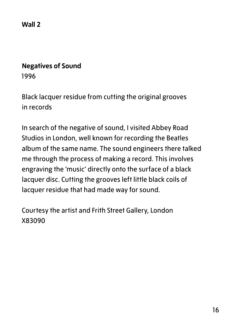**Wall 2**

#### **Negatives of Sound**

1996

Black lacquer residue from cutting the original grooves in records

In search of the negative of sound, I visited Abbey Road Studios in London, well known for recording the Beatles album of the same name. The sound engineers there talked me through the process of making a record. This involves engraving the 'music' directly onto the surface of a black lacquer disc. Cutting the grooves left little black coils of lacquer residue that had made way for sound.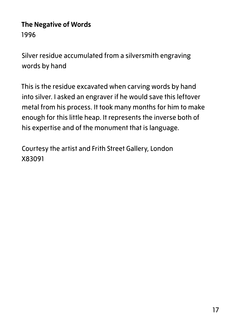## **The Negative of Words** 1996

Silver residue accumulated from a silversmith engraving words by hand

This is the residue excavated when carving words by hand into silver. I asked an engraver if he would save this leftover metal from his process. It took many months for him to make enough for this little heap. It represents the inverse both of his expertise and of the monument that is language.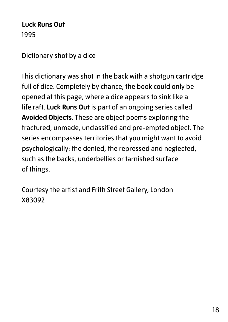**Luck Runs Out** 1995

Dictionary shot by a dice

This dictionary was shot in the back with a shotgun cartridge full of dice. Completely by chance, the book could only be opened at this page, where a dice appears to sink like a life raft. **Luck Runs Out** is part of an ongoing series called **Avoided Objects**. These are object poems exploring the fractured, unmade, unclassified and pre-empted object. The series encompasses territories that you might want to avoid psychologically: the denied, the repressed and neglected, such as the backs, underbellies or tarnished surface of things.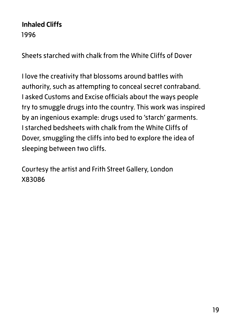### **Inhaled Cliffs** 1996

Sheets starched with chalk from the White Cliffs of Dover

I love the creativity that blossoms around battles with authority, such as attempting to conceal secret contraband. I asked Customs and Excise officials about the ways people try to smuggle drugs into the country. This work was inspired by an ingenious example: drugs used to 'starch' garments. I starched bedsheets with chalk from the White Cliffs of Dover, smuggling the cliffs into bed to explore the idea of sleeping between two cliffs.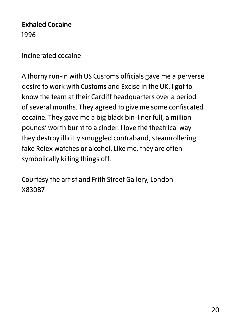**Exhaled Cocaine** 1996

Incinerated cocaine

A thorny run-in with US Customs officials gave me a perverse desire to work with Customs and Excise in the UK. I got to know the team at their Cardiff headquarters over a period of several months. They agreed to give me some confiscated cocaine. They gave me a big black bin-liner full, a million pounds' worth burnt to a cinder. I love the theatrical way they destroy illicitly smuggled contraband, steamrollering fake Rolex watches or alcohol. Like me, they are often symbolically killing things off.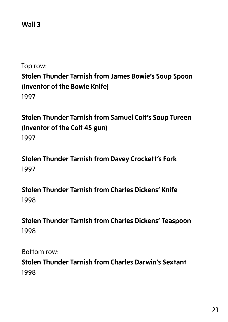#### **Wall 3**

Top row:

**Stolen Thunder Tarnish from James Bowie's Soup Spoon (Inventor of the Bowie Knife)** 1997

**Stolen Thunder Tarnish from Samuel Colt's Soup Tureen (Inventor of the Colt 45 gun)** 1997

**Stolen Thunder Tarnish from Davey Crockett's Fork** 1997

**Stolen Thunder Tarnish from Charles Dickens' Knife** 1998

**Stolen Thunder Tarnish from Charles Dickens' Teaspoon** 1998

Bottom row:

**Stolen Thunder Tarnish from Charles Darwin's Sextant** 1998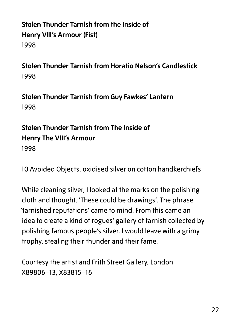## **Stolen Thunder Tarnish from the Inside of Henry Vlll's Armour (Fist)** 1998

**Stolen Thunder Tarnish from Horatio Nelson's Candlestick** 1998

**Stolen Thunder Tarnish from Guy Fawkes' Lantern** 1998

## **Stolen Thunder Tarnish from The Inside of Henry The VIII's Armour** 1998

10 Avoided Objects, oxidised silver on cotton handkerchiefs

While cleaning silver, I looked at the marks on the polishing cloth and thought, 'These could be drawings'. The phrase 'tarnished reputations' came to mind. From this came an idea to create a kind of rogues' gallery of tarnish collected by polishing famous people's silver. I would leave with a grimy trophy, stealing their thunder and their fame.

Courtesy the artist and Frith Street Gallery, London X89806–13, X83815–16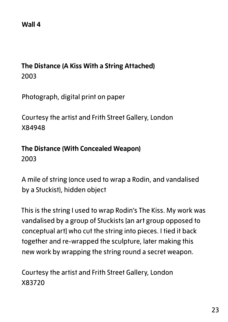#### **Wall 4**

## **The Distance (A Kiss With a String Attached)** 2003

Photograph, digital print on paper

Courtesy the artist and Frith Street Gallery, London X84948

**The Distance (With Concealed Weapon)** 2003

A mile of string (once used to wrap a Rodin, and vandalised by a Stuckist), hidden object

This is the string I used to wrap Rodin's The Kiss. My work was vandalised by a group of Stuckists [an art group opposed to conceptual art] who cut the string into pieces. I tied it back together and re-wrapped the sculpture, later making this new work by wrapping the string round a secret weapon.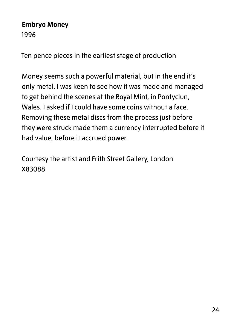#### **Embryo Money** 1996

Ten pence pieces in the earliest stage of production

Money seems such a powerful material, but in the end it's only metal. I was keen to see how it was made and managed to get behind the scenes at the Royal Mint, in Pontyclun, Wales. I asked if I could have some coins without a face. Removing these metal discs from the process just before they were struck made them a currency interrupted before it had value, before it accrued power.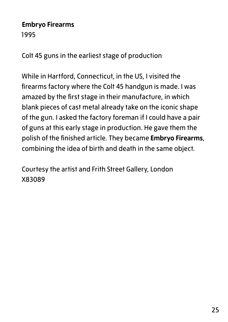#### **Embryo Firearms** 1995

Colt 45 guns in the earliest stage of production

While in Hartford, Connecticut, in the US, I visited the firearms factory where the Colt 45 handgun is made. I was amazed by the first stage in their manufacture, in which blank pieces of cast metal already take on the iconic shape of the gun. I asked the factory foreman if I could have a pair of guns at this early stage in production. He gave them the polish of the finished article. They became **Embryo Firearms**, combining the idea of birth and death in the same object.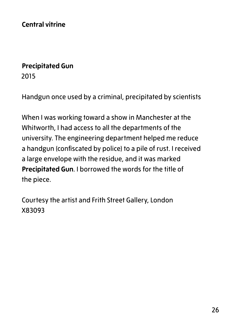**Central vitrine**

#### **Precipitated Gun**

2015

Handgun once used by a criminal, precipitated by scientists

When I was working toward a show in Manchester at the Whitworth, I had access to all the departments of the university. The engineering department helped me reduce a handgun (confiscated by police) to a pile of rust. I received a large envelope with the residue, and it was marked **Precipitated Gun**. I borrowed the words for the title of the piece.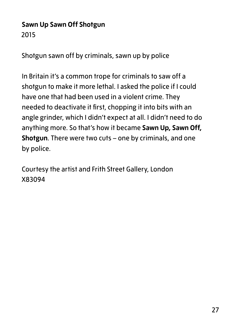## **Sawn Up Sawn Off Shotgun** 2015

Shotgun sawn off by criminals, sawn up by police

In Britain it's a common trope for criminals to saw off a shotgun to make it more lethal. I asked the police if I could have one that had been used in a violent crime. They needed to deactivate it first, chopping it into bits with an angle grinder, which I didn't expect at all. I didn't need to do anything more. So that's how it became **Sawn Up, Sawn Off, Shotgun**. There were two cuts – one by criminals, and one by police.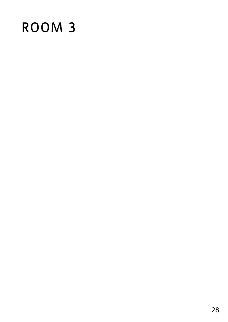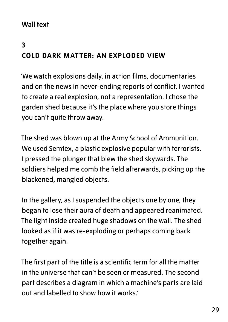### **Wall text**

## **3 COLD DARK MATTER: AN EXPLODED VIEW**

'We watch explosions daily, in action films, documentaries and on the news in never-ending reports of conflict. I wanted to create a real explosion, not a representation. I chose the garden shed because it's the place where you store things you can't quite throw away.

The shed was blown up at the Army School of Ammunition. We used Semtex, a plastic explosive popular with terrorists. I pressed the plunger that blew the shed skywards. The soldiers helped me comb the field afterwards, picking up the blackened, mangled objects.

In the gallery, as I suspended the objects one by one, they began to lose their aura of death and appeared reanimated. The light inside created huge shadows on the wall. The shed looked as if it was re-exploding or perhaps coming back together again.

The first part of the title is a scientific term for all the matter in the universe that can't be seen or measured. The second part describes a diagram in which a machine's parts are laid out and labelled to show how it works.'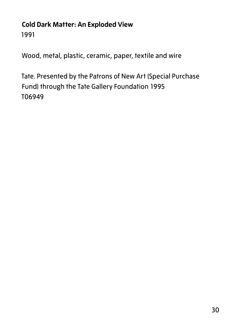## **Cold Dark Matter: An Exploded View** 1991

Wood, metal, plastic, ceramic, paper, textile and wire

Tate. Presented by the Patrons of New Art (Special Purchase Fund) through the Tate Gallery Foundation 1995 T06949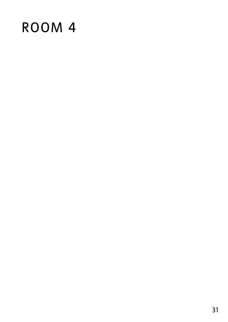# ROOM 4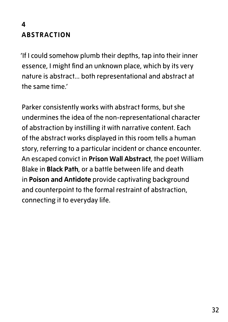## **4 ABSTRACTION**

'If I could somehow plumb their depths, tap into their inner essence, I might find an unknown place, which by its very nature is abstract... both representational and abstract at the same time.'

Parker consistently works with abstract forms, but she undermines the idea of the non-representational character of abstraction by instilling it with narrative content. Each of the abstract works displayed in this room tells a human story, referring to a particular incident or chance encounter. An escaped convict in **Prison Wall Abstract**, the poet William Blake in **Black Path**, or a battle between life and death in **Poison and Antidote** provide captivating background and counterpoint to the formal restraint of abstraction, connecting it to everyday life.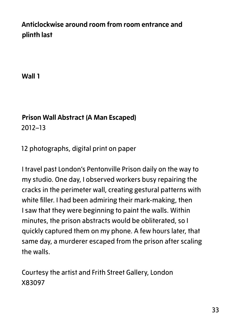## **Anticlockwise around room from room entrance and plinth last**

**Wall 1**

## **Prison Wall Abstract (A Man Escaped)**

2012–13

12 photographs, digital print on paper

I travel past London's Pentonville Prison daily on the way to my studio. One day, I observed workers busy repairing the cracks in the perimeter wall, creating gestural patterns with white filler. I had been admiring their mark-making, then I saw that they were beginning to paint the walls. Within minutes, the prison abstracts would be obliterated, so I quickly captured them on my phone. A few hours later, that same day, a murderer escaped from the prison after scaling the walls.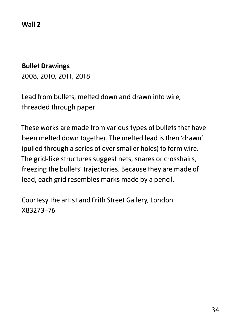**Wall 2**

#### **Bullet Drawings**

2008, 2010, 2011, 2018

Lead from bullets, melted down and drawn into wire, threaded through paper

These works are made from various types of bullets that have been melted down together. The melted lead is then 'drawn' (pulled through a series of ever smaller holes) to form wire. The grid-like structures suggest nets, snares or crosshairs, freezing the bullets' trajectories. Because they are made of lead, each grid resembles marks made by a pencil.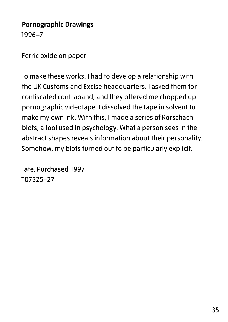#### **Pornographic Drawings** 1996–7

Ferric oxide on paper

To make these works, I had to develop a relationship with the UK Customs and Excise headquarters. I asked them for confiscated contraband, and they offered me chopped up pornographic videotape. I dissolved the tape in solvent to make my own ink. With this, I made a series of Rorschach blots, a tool used in psychology. What a person sees in the abstract shapes reveals information about their personality. Somehow, my blots turned out to be particularly explicit.

Tate. Purchased 1997 T07325–27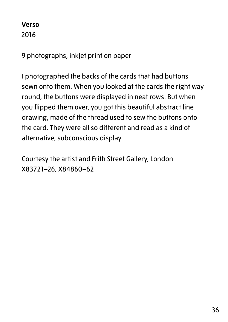#### **Verso** 2016

9 photographs, inkjet print on paper

I photographed the backs of the cards that had buttons sewn onto them. When you looked at the cards the right way round, the buttons were displayed in neat rows. But when you flipped them over, you got this beautiful abstract line drawing, made of the thread used to sew the buttons onto the card. They were all so different and read as a kind of alternative, subconscious display.

Courtesy the artist and Frith Street Gallery, London X83721–26, X84860–62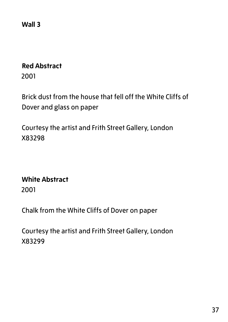**Wall 3**

#### **Red Abstract**

2001

Brick dust from the house that fell off the White Cliffs of Dover and glass on paper

Courtesy the artist and Frith Street Gallery, London X83298

## **White Abstract**

2001

Chalk from the White Cliffs of Dover on paper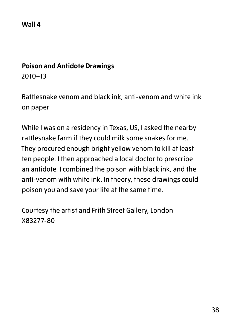#### **Wall 4**

#### **Poison and Antidote Drawings**

2010–13

Rattlesnake venom and black ink, anti-venom and white ink on paper

While I was on a residency in Texas, US, I asked the nearby rattlesnake farm if they could milk some snakes for me. They procured enough bright yellow venom to kill at least ten people. I then approached a local doctor to prescribe an antidote. I combined the poison with black ink, and the anti-venom with white ink. In theory, these drawings could poison you and save your life at the same time.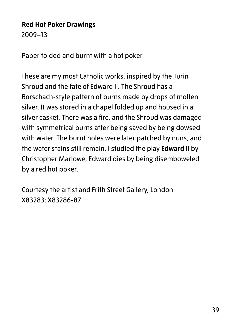## **Red Hot Poker Drawings**

2009–13

Paper folded and burnt with a hot poker

These are my most Catholic works, inspired by the Turin Shroud and the fate of Edward II. The Shroud has a Rorschach-style pattern of burns made by drops of molten silver. It was stored in a chapel folded up and housed in a silver casket. There was a fire, and the Shroud was damaged with symmetrical burns after being saved by being dowsed with water. The burnt holes were later patched by nuns, and the water stains still remain. I studied the play **Edward II** by Christopher Marlowe, Edward dies by being disemboweled by a red hot poker.

Courtesy the artist and Frith Street Gallery, London X83283; X83286-87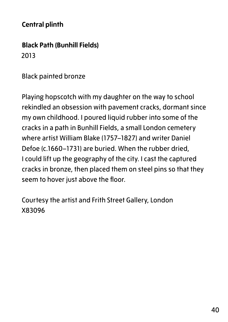#### **Central plinth**

**Black Path (Bunhill Fields)** 2013

Black painted bronze

Playing hopscotch with my daughter on the way to school rekindled an obsession with pavement cracks, dormant since my own childhood. I poured liquid rubber into some of the cracks in a path in Bunhill Fields, a small London cemetery where artist William Blake (1757–1827) and writer Daniel Defoe (c.1660–1731) are buried. When the rubber dried, I could lift up the geography of the city. I cast the captured cracks in bronze, then placed them on steel pins so that they seem to hover just above the floor.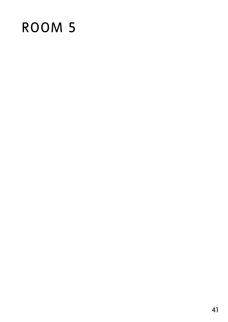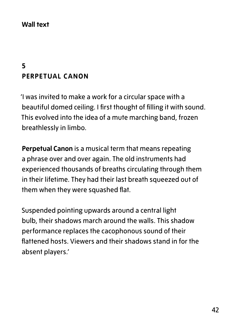#### **Wall text**

## **5 PERPETUAL CANON**

'I was invited to make a work for a circular space with a beautiful domed ceiling. I first thought of filling it with sound. This evolved into the idea of a mute marching band, frozen breathlessly in limbo.

**Perpetual Canon** is a musical term that means repeating a phrase over and over again. The old instruments had experienced thousands of breaths circulating through them in their lifetime. They had their last breath squeezed out of them when they were squashed flat.

Suspended pointing upwards around a central light bulb, their shadows march around the walls. This shadow performance replaces the cacophonous sound of their flattened hosts. Viewers and their shadows stand in for the absent players.'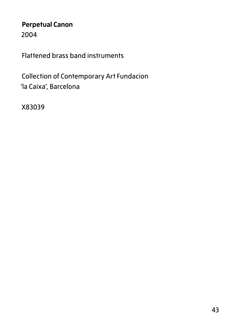## **Perpetual Canon**

2004

Flattened brass band instruments

Collection of Contemporary Art Fundacion 'la Caixa', Barcelona

X83039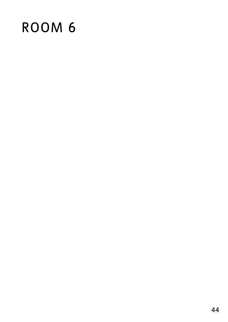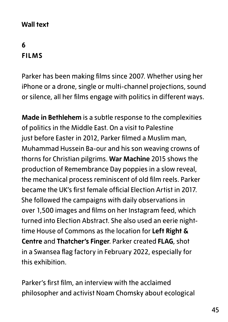#### **Wall text**

## **6 FILMS**

Parker has been making films since 2007. Whether using her iPhone or a drone, single or multi-channel projections, sound or silence, all her films engage with politics in different ways.

**Made in Bethlehem** is a subtle response to the complexities of politics in the Middle East. On a visit to Palestine just before Easter in 2012, Parker filmed a Muslim man, Muhammad Hussein Ba-our and his son weaving crowns of thorns for Christian pilgrims. **War Machine** 2015 shows the production of Remembrance Day poppies in a slow reveal, the mechanical process reminiscent of old film reels. Parker became the UK's first female official Election Artist in 2017. She followed the campaigns with daily observations in over 1,500 images and films on her Instagram feed, which turned into Election Abstract. She also used an eerie nighttime House of Commons as the location for **Left Right & Centre** and **Thatcher's Finger**. Parker created **FLAG**, shot in a Swansea flag factory in February 2022, especially for this exhibition.

Parker's first film, an interview with the acclaimed philosopher and activist Noam Chomsky about ecological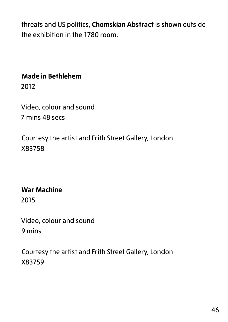threats and US politics, **Chomskian Abstract** is shown outside the exhibition in the 1780 room.

#### **Made in Bethlehem**

2012

Video, colour and sound 7 mins 48 secs

Courtesy the artist and Frith Street Gallery, London X83758

**War Machine** 2015

Video, colour and sound 9 mins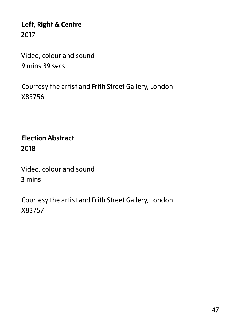**Left, Right & Centre** 2017

Video, colour and sound 9 mins 39 secs

Courtesy the artist and Frith Street Gallery, London X83756

**Election Abstract** 2018

Video, colour and sound 3 mins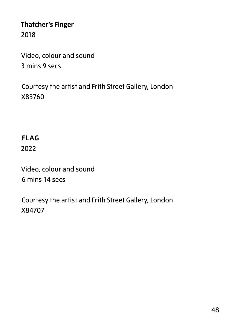### **Thatcher's Finger** 2018

Video, colour and sound 3 mins 9 secs

Courtesy the artist and Frith Street Gallery, London X83760

## **FLAG**

2022

Video, colour and sound 6 mins 14 secs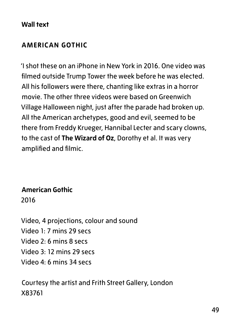#### **Wall text**

#### **AMERICAN GOTHIC**

'I shot these on an iPhone in New York in 2016. One video was filmed outside Trump Tower the week before he was elected. All his followers were there, chanting like extras in a horror movie. The other three videos were based on Greenwich Village Halloween night, just after the parade had broken up. All the American archetypes, good and evil, seemed to be there from Freddy Krueger, Hannibal Lecter and scary clowns, to the cast of **The Wizard of Oz**, Dorothy et al. It was very amplified and filmic.

**American Gothic** 2016

Video, 4 projections, colour and sound Video 1: 7 mins 29 secs Video  $2.6$  mins 8 secs Video 3: 12 mins 29 secs Video 4: 6 mins 34 secs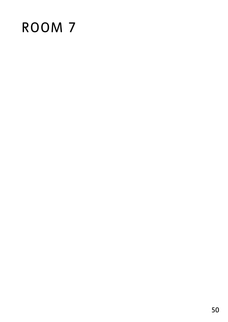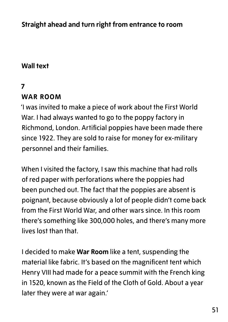**Straight ahead and turn right from entrance to room** 

#### **Wall text**

#### **7**

#### **WAR ROOM**

'I was invited to make a piece of work about the First World War. I had always wanted to go to the poppy factory in Richmond, London. Artificial poppies have been made there since 1922. They are sold to raise for money for ex-military personnel and their families.

When I visited the factory, I saw this machine that had rolls of red paper with perforations where the poppies had been punched out. The fact that the poppies are absent is poignant, because obviously a lot of people didn't come back from the First World War, and other wars since. In this room there's something like 300,000 holes, and there's many more lives lost than that.

I decided to make **War Room** like a tent, suspending the material like fabric. It's based on the magnificent tent which Henry VIII had made for a peace summit with the French king in 1520, known as the Field of the Cloth of Gold. About a year later they were at war again.'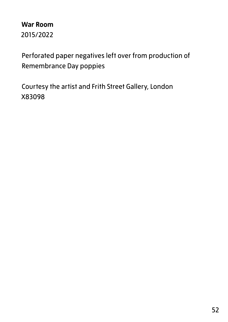**War Room** 2015/2022

Perforated paper negatives left over from production of Remembrance Day poppies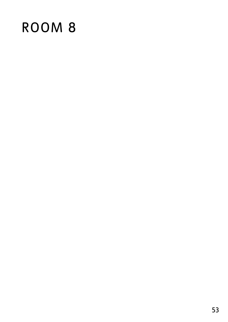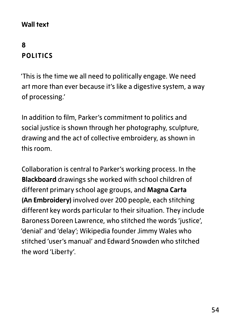#### **Wall text**

## **8 POLITICS**

'This is the time we all need to politically engage. We need art more than ever because it's like a digestive system, a way of processing.'

In addition to film, Parker's commitment to politics and social justice is shown through her photography, sculpture, drawing and the act of collective embroidery, as shown in this room.

Collaboration is central to Parker's working process. In the **Blackboard** drawings she worked with school children of different primary school age groups, and **Magna Carta (An Embroidery)** involved over 200 people, each stitching different key words particular to their situation. They include Baroness Doreen Lawrence, who stitched the words 'justice', 'denial' and 'delay'; Wikipedia founder Jimmy Wales who stitched 'user's manual' and Edward Snowden who stitched the word 'Liberty'.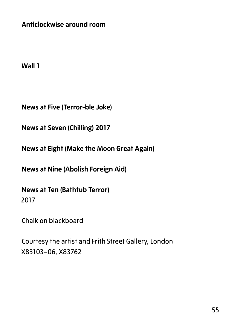**Anticlockwise around room**

**Wall 1**

**News at Five (Terror-ble Joke)**

**News at Seven (Chilling) 2017**

**News at Eight (Make the Moon Great Again)**

**News at Nine (Abolish Foreign Aid)**

**News at Ten (Bathtub Terror)** 2017

Chalk on blackboard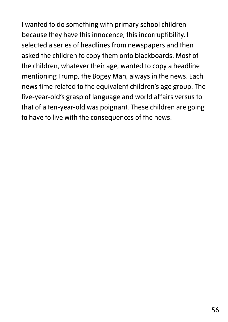I wanted to do something with primary school children because they have this innocence, this incorruptibility. I selected a series of headlines from newspapers and then asked the children to copy them onto blackboards. Most of the children, whatever their age, wanted to copy a headline mentioning Trump, the Bogey Man, always in the news. Each news time related to the equivalent children's age group. The five-year-old's grasp of language and world affairs versus to that of a ten-year-old was poignant. These children are going to have to live with the consequences of the news.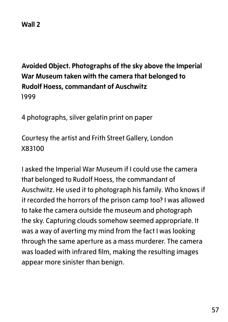## **Avoided Object. Photographs of the sky above the Imperial War Museum taken with the camera that belonged to Rudolf Hoess, commandant of Auschwitz** 1999

4 photographs, silver gelatin print on paper

Courtesy the artist and Frith Street Gallery, London X83100

I asked the Imperial War Museum if I could use the camera that belonged to Rudolf Hoess, the commandant of Auschwitz. He used it to photograph his family. Who knows if it recorded the horrors of the prison camp too? I was allowed to take the camera outside the museum and photograph the sky. Capturing clouds somehow seemed appropriate. It was a way of averting my mind from the fact I was looking through the same aperture as a mass murderer. The camera was loaded with infrared film, making the resulting images appear more sinister than benign.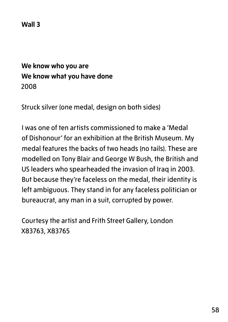**Wall 3**

### **We know who you are We know what you have done** 2008

Struck silver (one medal, design on both sides)

I was one of ten artists commissioned to make a 'Medal of Dishonour' for an exhibition at the British Museum. My medal features the backs of two heads (no tails). These are modelled on Tony Blair and George W Bush, the British and US leaders who spearheaded the invasion of Iraq in 2003. But because they're faceless on the medal, their identity is left ambiguous. They stand in for any faceless politician or bureaucrat, any man in a suit, corrupted by power.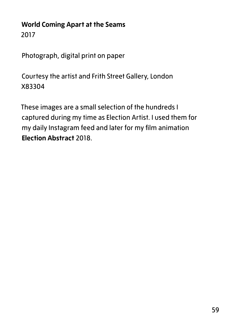#### **World Coming Apart at the Seams** 2017

Photograph, digital print on paper

Courtesy the artist and Frith Street Gallery, London X83304

These images are a small selection of the hundreds I captured during my time as Election Artist. I used them for my daily Instagram feed and later for my film animation **Election Abstract** 2018.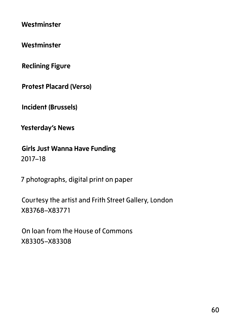**Westminster**

**Westminster**

**Reclining Figure**

**Protest Placard (Verso)**

**Incident (Brussels)**

**Yesterday's News**

**Girls Just Wanna Have Funding** 2017–18

7 photographs, digital print on paper

Courtesy the artist and Frith Street Gallery, London X83768–X83771

On loan from the House of Commons X83305–X83308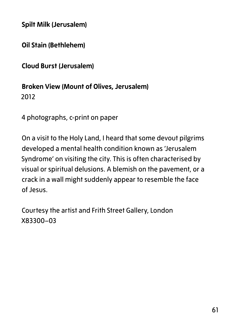**Spilt Milk (Jerusalem)**

**Oil Stain (Bethlehem)**

**Cloud Burst (Jerusalem)**

#### **Broken View (Mount of Olives, Jerusalem)** 2012

4 photographs, c-print on paper

On a visit to the Holy Land, I heard that some devout pilgrims developed a mental health condition known as 'Jerusalem Syndrome' on visiting the city. This is often characterised by visual or spiritual delusions. A blemish on the pavement, or a crack in a wall might suddenly appear to resemble the face of Jesus.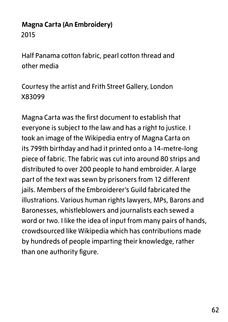## **Magna Carta (An Embroidery)** 2015

Half Panama cotton fabric, pearl cotton thread and other media

Courtesy the artist and Frith Street Gallery, London X83099

Magna Carta was the first document to establish that everyone is subject to the law and has a right to justice. I took an image of the Wikipedia entry of Magna Carta on its 799th birthday and had it printed onto a 14-metre-long piece of fabric. The fabric was cut into around 80 strips and distributed to over 200 people to hand embroider. A large part of the text was sewn by prisoners from 12 different jails. Members of the Embroiderer's Guild fabricated the illustrations. Various human rights lawyers, MPs, Barons and Baronesses, whistleblowers and journalists each sewed a word or two. I like the idea of input from many pairs of hands, crowdsourced like Wikipedia which has contributions made by hundreds of people imparting their knowledge, rather than one authority figure.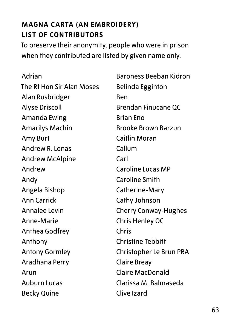## **MAGNA CARTA (AN EMBROIDERY) LIST OF CONTRIBUTORS**

To preserve their anonymity, people who were in prison when they contributed are listed by given name only.

Adrian The Rt Hon Sir Alan Moses Alan Rusbridger Alyse Driscoll Amanda Ewing Amarilys Machin Amy Burt Andrew R. Lonas Andrew McAlpine Andrew Andy Angela Bishop Ann Carrick Annalee Levin Anne-Marie Anthea Godfrey Anthony Antony Gormley Aradhana Perry Arun Auburn Lucas Becky Quine

Baroness Beeban Kidron Belinda Egginton Ben Brendan Finucane QC Brian Eno Brooke Brown Barzun Caitlin Moran Callum Carl Caroline Lucas MP Caroline Smith Catherine-Mary Cathy Johnson Cherry Conway-Hughes Chris Henley QC Chris Christine Tebbitt Christopher Le Brun PRA Claire Breay Claire MacDonald Clarissa M. Balmaseda Clive Izard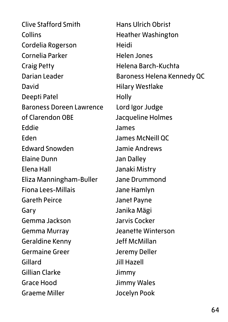Clive Stafford Smith Collins Cordelia Rogerson Cornelia Parker Craig Petty Darian Leader David Deepti Patel Baroness Doreen Lawrence of Clarendon OBE Eddie Eden Edward Snowden Elaine Dunn Elena Hall Eliza Manningham-Buller Fiona Lees-Millais Gareth Peirce Gary Gemma Jackson Gemma Murray Geraldine Kenny Germaine Greer Gillard Gillian Clarke Grace Hood Graeme Miller

Hans Ulrich Obrist Heather Washington Heidi Helen Jones Helena Barch-Kuchta Baroness Helena Kennedy QC Hilary Westlake **Holly** Lord Igor Judge Jacqueline Holmes James James McNeill QC Jamie Andrews Jan Dalley Janaki Mistry Jane Drummond Jane Hamlyn Janet Payne Janika Mägi Jarvis Cocker Jeanette Winterson Jeff McMillan Jeremy Deller Jill Hazell Jimmy Jimmy Wales Jocelyn Pook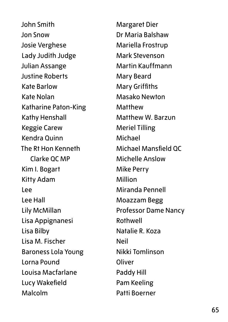John Smith Jon Snow Josie Verghese Lady Judith Judge Julian Assange Justine Roberts Kate Barlow Kate Nolan Katharine Paton-King Kathy Henshall Keggie Carew Kendra Quinn The Rt Hon Kenneth Clarke QC MP Kim I. Bogart Kitty Adam Lee Lee Hall Lily McMillan Lisa Appignanesi Lisa Bilby Lisa M. Fischer Baroness Lola Young Lorna Pound Louisa Macfarlane Lucy Wakefield Malcolm

Margaret Dier Dr Maria Balshaw Mariella Frostrup Mark Stevenson Martin Kauffmann Mary Beard Mary Griffiths Masako Newton Matthew Matthew W. Barzun Meriel Tilling Michael Michael Mansfield QC Michelle Anslow Mike Perry Million Miranda Pennell Moazzam Begg Professor Dame Nancy Rothwell Natalie R. Koza Neil Nikki Tomlinson **Oliver** Paddy Hill Pam Keeling Patti Boerner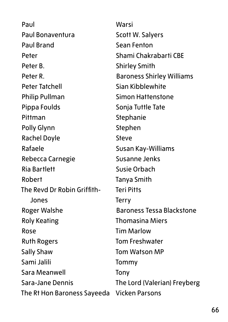Paul Paul Bonaventura Paul Brand Peter Peter B. Peter R. Peter Tatchell Philip Pullman Pippa Foulds Pittman Polly Glynn Rachel Doyle Rafaele Rebecca Carnegie Ria Bartlett Robert The Revd Dr Robin Griffith-Jones Roger Walshe Roly Keating Rose Ruth Rogers Sally Shaw Sami Jalili Sara Meanwell Sara-Jane Dennis The Rt Hon Baroness Sayeeda Warsi Scott W. Salyers Sean Fenton Shami Chakrabarti CBE Shirley Smith Baroness Shirley Williams Sian Kibblewhite Simon Hattenstone Sonja Tuttle Tate Stephanie Stephen Steve Susan Kay-Williams Susanne Jenks Susie Orbach Tanya Smith Teri Pitts Terry Baroness Tessa Blackstone Thomasina Miers Tim Marlow Tom Freshwater Tom Watson MP Tommy Tony The Lord (Valerian) Freyberg Vicken Parsons

66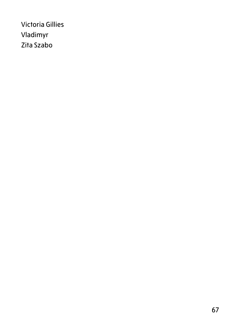Victoria Gillies Vladimyr Zita Szabo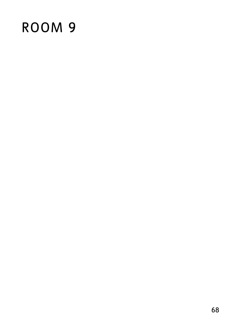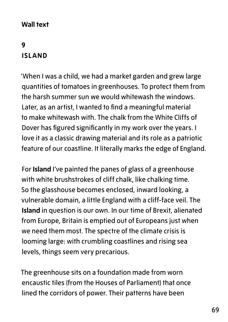#### **Wall text**

## **9 ISLAND**

'When I was a child, we had a market garden and grew large quantities of tomatoes in greenhouses. To protect them from the harsh summer sun we would whitewash the windows. Later, as an artist, I wanted to find a meaningful material to make whitewash with. The chalk from the White Cliffs of Dover has figured significantly in my work over the years. I love it as a classic drawing material and its role as a patriotic feature of our coastline. It literally marks the edge of England.

For **Island** I've painted the panes of glass of a greenhouse with white brushstrokes of cliff chalk, like chalking time. So the glasshouse becomes enclosed, inward looking, a vulnerable domain, a little England with a cliff-face veil. The **Island** in question is our own. In our time of Brexit, alienated from Europe, Britain is emptied out of Europeans just when we need them most. The spectre of the climate crisis is looming large: with crumbling coastlines and rising sea levels, things seem very precarious.

The greenhouse sits on a foundation made from worn encaustic tiles (from the Houses of Parliament) that once lined the corridors of power. Their patterns have been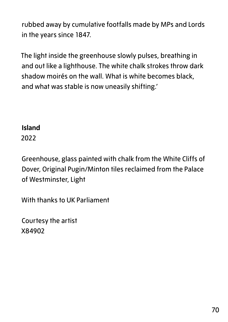rubbed away by cumulative footfalls made by MPs and Lords in the years since 1847.

The light inside the greenhouse slowly pulses, breathing in and out like a lighthouse. The white chalk strokes throw dark shadow moirés on the wall. What is white becomes black, and what was stable is now uneasily shifting.'

#### **Island**

2022

Greenhouse, glass painted with chalk from the White Cliffs of Dover, Original Pugin/Minton tiles reclaimed from the Palace of Westminster, Light

With thanks to UK Parliament

Courtesy the artist X84902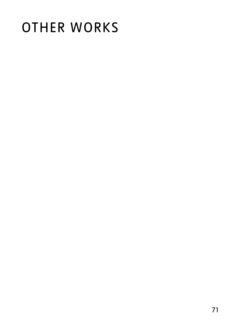# OTHER WORKS